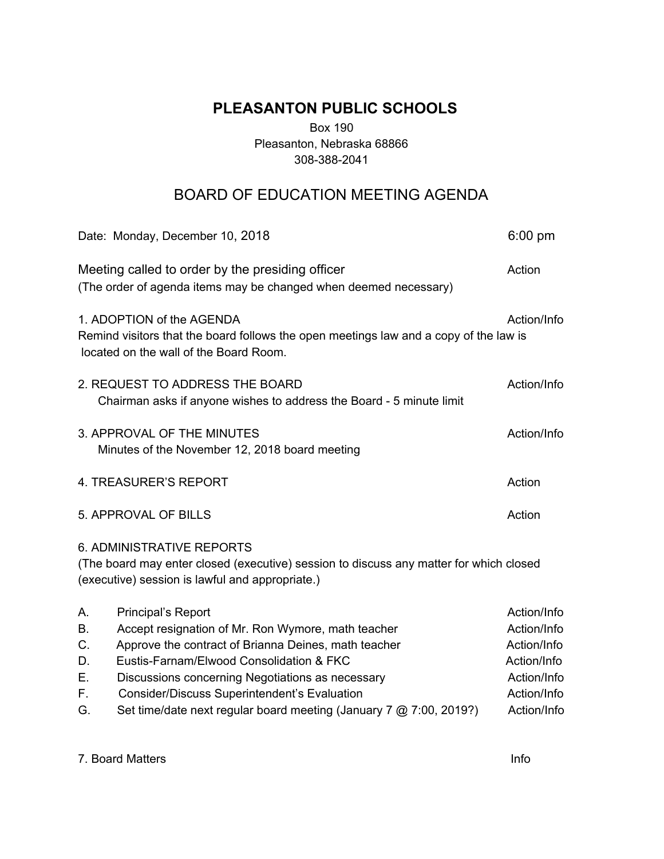## **PLEASANTON PUBLIC SCHOOLS**

Box 190 Pleasanton, Nebraska 68866 308-388-2041

## BOARD OF EDUCATION MEETING AGENDA

|                                                                                                                                                                               | Date: Monday, December 10, 2018                                                                         | $6:00$ pm   |
|-------------------------------------------------------------------------------------------------------------------------------------------------------------------------------|---------------------------------------------------------------------------------------------------------|-------------|
| Meeting called to order by the presiding officer<br>(The order of agenda items may be changed when deemed necessary)                                                          |                                                                                                         | Action      |
| 1. ADOPTION of the AGENDA<br>Remind visitors that the board follows the open meetings law and a copy of the law is<br>located on the wall of the Board Room.                  |                                                                                                         | Action/Info |
|                                                                                                                                                                               | 2. REQUEST TO ADDRESS THE BOARD<br>Chairman asks if anyone wishes to address the Board - 5 minute limit | Action/Info |
|                                                                                                                                                                               | 3. APPROVAL OF THE MINUTES<br>Minutes of the November 12, 2018 board meeting                            | Action/Info |
| 4. TREASURER'S REPORT                                                                                                                                                         |                                                                                                         | Action      |
| 5. APPROVAL OF BILLS                                                                                                                                                          |                                                                                                         | Action      |
| <b>6. ADMINISTRATIVE REPORTS</b><br>(The board may enter closed (executive) session to discuss any matter for which closed<br>(executive) session is lawful and appropriate.) |                                                                                                         |             |
| A.                                                                                                                                                                            | <b>Principal's Report</b>                                                                               | Action/Info |
| В.                                                                                                                                                                            | Accept resignation of Mr. Ron Wymore, math teacher                                                      | Action/Info |
| C.                                                                                                                                                                            | Approve the contract of Brianna Deines, math teacher                                                    | Action/Info |
| D.                                                                                                                                                                            | Eustis-Farnam/Elwood Consolidation & FKC                                                                | Action/Info |
| Е.                                                                                                                                                                            | Discussions concerning Negotiations as necessary                                                        | Action/Info |
| F.                                                                                                                                                                            | <b>Consider/Discuss Superintendent's Evaluation</b>                                                     | Action/Info |
| G.                                                                                                                                                                            | Set time/date next regular board meeting (January 7 @ 7:00, 2019?)                                      | Action/Info |

7. Board Matters Info